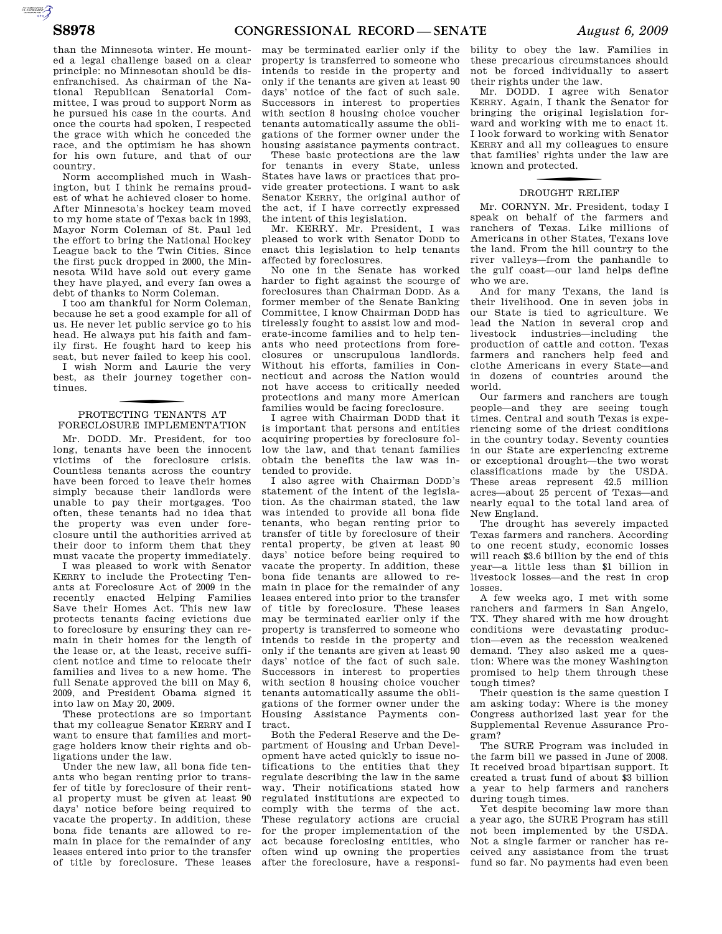than the Minnesota winter. He mounted a legal challenge based on a clear principle: no Minnesotan should be disenfranchised. As chairman of the National Republican Senatorial Committee, I was proud to support Norm as he pursued his case in the courts. And once the courts had spoken, I respected the grace with which he conceded the race, and the optimism he has shown for his own future, and that of our country.

Norm accomplished much in Washington, but I think he remains proudest of what he achieved closer to home. After Minnesota's hockey team moved to my home state of Texas back in 1993, Mayor Norm Coleman of St. Paul led the effort to bring the National Hockey League back to the Twin Cities. Since the first puck dropped in 2000, the Minnesota Wild have sold out every game they have played, and every fan owes a debt of thanks to Norm Coleman.

I too am thankful for Norm Coleman, because he set a good example for all of us. He never let public service go to his head. He always put his faith and family first. He fought hard to keep his seat, but never failed to keep his cool. I wish Norm and Laurie the very best, as their journey together continues.

## f PROTECTING TENANTS AT FORECLOSURE IMPLEMENTATION

Mr. DODD. Mr. President, for too long, tenants have been the innocent victims of the foreclosure crisis. Countless tenants across the country have been forced to leave their homes simply because their landlords were unable to pay their mortgages. Too often, these tenants had no idea that the property was even under foreclosure until the authorities arrived at their door to inform them that they must vacate the property immediately.

I was pleased to work with Senator KERRY to include the Protecting Tenants at Foreclosure Act of 2009 in the recently enacted Helping Families Save their Homes Act. This new law protects tenants facing evictions due to foreclosure by ensuring they can remain in their homes for the length of the lease or, at the least, receive sufficient notice and time to relocate their families and lives to a new home. The full Senate approved the bill on May 6, 2009, and President Obama signed it into law on May 20, 2009.

These protections are so important that my colleague Senator KERRY and I want to ensure that families and mortgage holders know their rights and obligations under the law.

Under the new law, all bona fide tenants who began renting prior to transfer of title by foreclosure of their rental property must be given at least 90 days' notice before being required to vacate the property. In addition, these bona fide tenants are allowed to remain in place for the remainder of any leases entered into prior to the transfer of title by foreclosure. These leases

may be terminated earlier only if the property is transferred to someone who intends to reside in the property and only if the tenants are given at least 90 days' notice of the fact of such sale. Successors in interest to properties with section 8 housing choice voucher tenants automatically assume the obligations of the former owner under the housing assistance payments contract.

These basic protections are the law for tenants in every State, unless States have laws or practices that provide greater protections. I want to ask Senator KERRY, the original author of the act, if I have correctly expressed the intent of this legislation.

Mr. KERRY. Mr. President, I was pleased to work with Senator DODD to enact this legislation to help tenants affected by foreclosures.

No one in the Senate has worked harder to fight against the scourge of foreclosures than Chairman DODD. As a former member of the Senate Banking Committee, I know Chairman DODD has tirelessly fought to assist low and moderate-income families and to help tenants who need protections from foreclosures or unscrupulous landlords. Without his efforts, families in Connecticut and across the Nation would not have access to critically needed protections and many more American families would be facing foreclosure.

I agree with Chairman DODD that it is important that persons and entities acquiring properties by foreclosure follow the law, and that tenant families obtain the benefits the law was intended to provide.

I also agree with Chairman DODD's statement of the intent of the legislation. As the chairman stated, the law was intended to provide all bona fide tenants, who began renting prior to transfer of title by foreclosure of their rental property, be given at least 90 days' notice before being required to vacate the property. In addition, these bona fide tenants are allowed to remain in place for the remainder of any leases entered into prior to the transfer of title by foreclosure. These leases may be terminated earlier only if the property is transferred to someone who intends to reside in the property and only if the tenants are given at least 90 days' notice of the fact of such sale. Successors in interest to properties with section 8 housing choice voucher tenants automatically assume the obligations of the former owner under the Housing Assistance Payments contract.

Both the Federal Reserve and the Department of Housing and Urban Development have acted quickly to issue notifications to the entities that they regulate describing the law in the same way. Their notifications stated how regulated institutions are expected to comply with the terms of the act. These regulatory actions are crucial for the proper implementation of the act because foreclosing entities, who often wind up owning the properties after the foreclosure, have a responsi-

bility to obey the law. Families in these precarious circumstances should not be forced individually to assert their rights under the law.

Mr. DODD. I agree with Senator KERRY. Again, I thank the Senator for bringing the original legislation forward and working with me to enact it. I look forward to working with Senator KERRY and all my colleagues to ensure that families' rights under the law are known and protected.

## f DROUGHT RELIEF

Mr. CORNYN. Mr. President, today I speak on behalf of the farmers and ranchers of Texas. Like millions of Americans in other States, Texans love the land. From the hill country to the river valleys—from the panhandle to the gulf coast—our land helps define who we are.

And for many Texans, the land is their livelihood. One in seven jobs in our State is tied to agriculture. We lead the Nation in several crop and livestock industries—including the production of cattle and cotton. Texas farmers and ranchers help feed and clothe Americans in every State—and in dozens of countries around the world.

Our farmers and ranchers are tough people—and they are seeing tough times. Central and south Texas is experiencing some of the driest conditions in the country today. Seventy counties in our State are experiencing extreme or exceptional drought—the two worst classifications made by the USDA. These areas represent 42.5 million acres—about 25 percent of Texas—and nearly equal to the total land area of New England.

The drought has severely impacted Texas farmers and ranchers. According to one recent study, economic losses will reach \$3.6 billion by the end of this year—a little less than \$1 billion in livestock losses—and the rest in crop losses.

A few weeks ago, I met with some ranchers and farmers in San Angelo, TX. They shared with me how drought conditions were devastating production—even as the recession weakened demand. They also asked me a question: Where was the money Washington promised to help them through these tough times?

Their question is the same question I am asking today: Where is the money Congress authorized last year for the Supplemental Revenue Assurance Program?

The SURE Program was included in the farm bill we passed in June of 2008. It received broad bipartisan support. It created a trust fund of about \$3 billion a year to help farmers and ranchers during tough times.

Yet despite becoming law more than a year ago, the SURE Program has still not been implemented by the USDA. Not a single farmer or rancher has received any assistance from the trust fund so far. No payments had even been